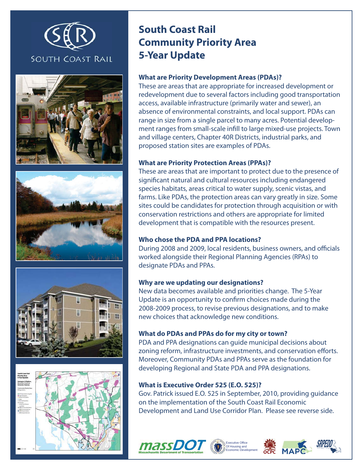









# **South Coast Rail Community Priority Area 5-Year Update**

### **What are Priority Development Areas (PDAs)?**

These are areas that are appropriate for increased development or redevelopment due to several factors including good transportation access, available infrastructure (primarily water and sewer), an absence of environmental constraints, and local support. PDAs can range in size from a single parcel to many acres. Potential development ranges from small-scale infill to large mixed-use projects. Town and village centers, Chapter 40R Districts, industrial parks, and proposed station sites are examples of PDAs.

### **What are Priority Protection Areas (PPAs)?**

These are areas that are important to protect due to the presence of significant natural and cultural resources including endangered species habitats, areas critical to water supply, scenic vistas, and farms. Like PDAs, the protection areas can vary greatly in size. Some sites could be candidates for protection through acquisition or with conservation restrictions and others are appropriate for limited development that is compatible with the resources present.

#### **Who chose the PDA and PPA locations?**

During 2008 and 2009, local residents, business owners, and officials worked alongside their Regional Planning Agencies (RPAs) to designate PDAs and PPAs.

#### **Why are we updating our designations?**

New data becomes available and priorities change. The 5-Year Update is an opportunity to confirm choices made during the 2008-2009 process, to revise previous designations, and to make new choices that acknowledge new conditions.

#### **What do PDAs and PPAs do for my city or town?**

PDA and PPA designations can guide municipal decisions about zoning reform, infrastructure investments, and conservation efforts. Moreover, Community PDAs and PPAs serve as the foundation for developing Regional and State PDA and PPA designations.

#### **What is Executive Order 525 (E.O. 525)?**

Gov. Patrick issued E.O. 525 in September, 2010, providing guidance on the implementation of the South Coast Rail Economic Development and Land Use Corridor Plan. Please see reverse side.